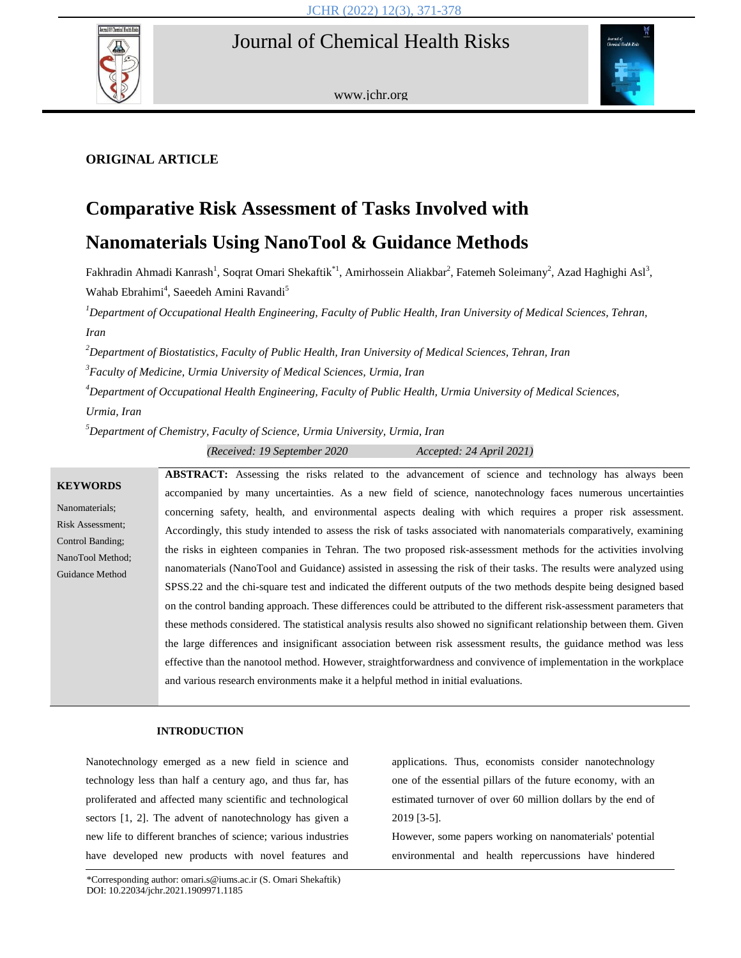# Journal of Chemical Health Risks



www.jchr.org



# **ORIGINAL ARTICLE**

# **Comparative Risk Assessment of Tasks Involved with**

# **Nanomaterials Using NanoTool & Guidance Methods**

Fakhradin Ahmadi Kanrash<sup>1</sup>, Soqrat Omari Shekaftik<sup>\*1</sup>, Amirhossein Aliakbar<sup>2</sup>, Fatemeh Soleimany<sup>2</sup>, Azad Haghighi Asl<sup>3</sup>, Wahab Ebrahimi<sup>4</sup>, Saeedeh Amini Ravandi<sup>5</sup>

*<sup>1</sup>Department of Occupational Health Engineering, Faculty of Public Health, Iran University of Medical Sciences, Tehran, Iran*

*<sup>2</sup>Department of Biostatistics, Faculty of Public Health, Iran University of Medical Sciences, Tehran, Iran*

*3 Faculty of Medicine, Urmia University of Medical Sciences, Urmia, Iran*

*<sup>4</sup>Department of Occupational Health Engineering, Faculty of Public Health, Urmia University of Medical Sciences,* 

*Urmia, Iran*

*<sup>5</sup>Department of Chemistry, Faculty of Science, Urmia University, Urmia, Iran*

*(Received: 19 September 2020 Accepted: 24 April 2021)*

# **KEYWORDS** Nanomaterials; Risk Assessment; Control Banding; NanoTool Method; Guidance Method ABSTRACT: Assessing the risks related to the advancement of science and technology has always been accompanied by many uncertainties. As a new field of science, nanotechnology faces numerous uncertainties concerning safety, health, and environmental aspects dealing with which requires a proper risk assessment. Accordingly, this study intended to assess the risk of tasks associated with nanomaterials comparatively, examining the risks in eighteen companies in Tehran. The two proposed risk-assessment methods for the activities involving nanomaterials (NanoTool and Guidance) assisted in assessing the risk of their tasks. The results were analyzed using SPSS.22 and the chi-square test and indicated the different outputs of the two methods despite being designed based on the control banding approach. These differences could be attributed to the different risk-assessment parameters that these methods considered. The statistical analysis results also showed no significant relationship between them. Given the large differences and insignificant association between risk assessment results, the guidance method was less effective than the nanotool method. However, straightforwardness and convivence of implementation in the workplace and various research environments make it a helpful method in initial evaluations.

# **INTRODUCTION**

Nanotechnology emerged as a new field in science and technology less than half a century ago, and thus far, has proliferated and affected many scientific and technological sectors [1, 2]. The advent of nanotechnology has given a new life to different branches of science; various industries have developed new products with novel features and applications. Thus, economists consider nanotechnology one of the essential pillars of the future economy, with an estimated turnover of over 60 million dollars by the end of 2019 [3-5].

However, some papers working on nanomaterials' potential environmental and health repercussions have hindered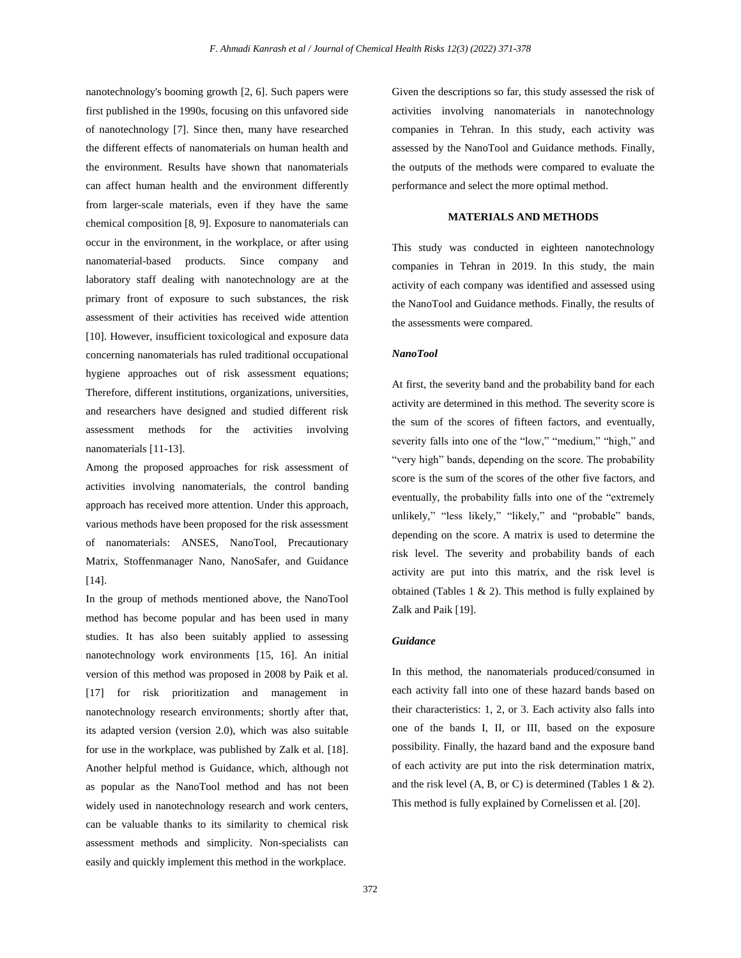nanotechnology's booming growth [2, 6]. Such papers were first published in the 1990s, focusing on this unfavored side of nanotechnology [7]. Since then, many have researched the different effects of nanomaterials on human health and the environment. Results have shown that nanomaterials can affect human health and the environment differently from larger-scale materials, even if they have the same chemical composition [8, 9]. Exposure to nanomaterials can occur in the environment, in the workplace, or after using nanomaterial-based products. Since company and laboratory staff dealing with nanotechnology are at the primary front of exposure to such substances, the risk assessment of their activities has received wide attention [10]. However, insufficient toxicological and exposure data concerning nanomaterials has ruled traditional occupational hygiene approaches out of risk assessment equations; Therefore, different institutions, organizations, universities, and researchers have designed and studied different risk assessment methods for the activities involving nanomaterials [11-13].

Among the proposed approaches for risk assessment of activities involving nanomaterials, the control banding approach has received more attention. Under this approach, various methods have been proposed for the risk assessment of nanomaterials: ANSES, NanoTool, Precautionary Matrix, Stoffenmanager Nano, NanoSafer, and Guidance [14].

In the group of methods mentioned above, the NanoTool method has become popular and has been used in many studies. It has also been suitably applied to assessing nanotechnology work environments [15, 16]. An initial version of this method was proposed in 2008 by Paik et al. [17] for risk prioritization and management in nanotechnology research environments; shortly after that, its adapted version (version 2.0), which was also suitable for use in the workplace, was published by Zalk et al. [18]. Another helpful method is Guidance, which, although not as popular as the NanoTool method and has not been widely used in nanotechnology research and work centers, can be valuable thanks to its similarity to chemical risk assessment methods and simplicity. Non-specialists can easily and quickly implement this method in the workplace.

Given the descriptions so far, this study assessed the risk of activities involving nanomaterials in nanotechnology companies in Tehran. In this study, each activity was assessed by the NanoTool and Guidance methods. Finally, the outputs of the methods were compared to evaluate the performance and select the more optimal method.

#### **MATERIALS AND METHODS**

This study was conducted in eighteen nanotechnology companies in Tehran in 2019. In this study, the main activity of each company was identified and assessed using the NanoTool and Guidance methods. Finally, the results of the assessments were compared.

#### *NanoTool*

At first, the severity band and the probability band for each activity are determined in this method. The severity score is the sum of the scores of fifteen factors, and eventually, severity falls into one of the "low," "medium," "high," and "very high" bands, depending on the score. The probability score is the sum of the scores of the other five factors, and eventually, the probability falls into one of the "extremely unlikely," "less likely," "likely," and "probable" bands, depending on the score. A matrix is used to determine the risk level. The severity and probability bands of each activity are put into this matrix, and the risk level is obtained (Tables  $1 \& 2$ ). This method is fully explained by Zalk and Paik [19].

#### *Guidance*

In this method, the nanomaterials produced/consumed in each activity fall into one of these hazard bands based on their characteristics: 1, 2, or 3. Each activity also falls into one of the bands I, II, or III, based on the exposure possibility. Finally, the hazard band and the exposure band of each activity are put into the risk determination matrix, and the risk level  $(A, B, or C)$  is determined (Tables 1 & 2). This method is fully explained by Cornelissen et al. [20].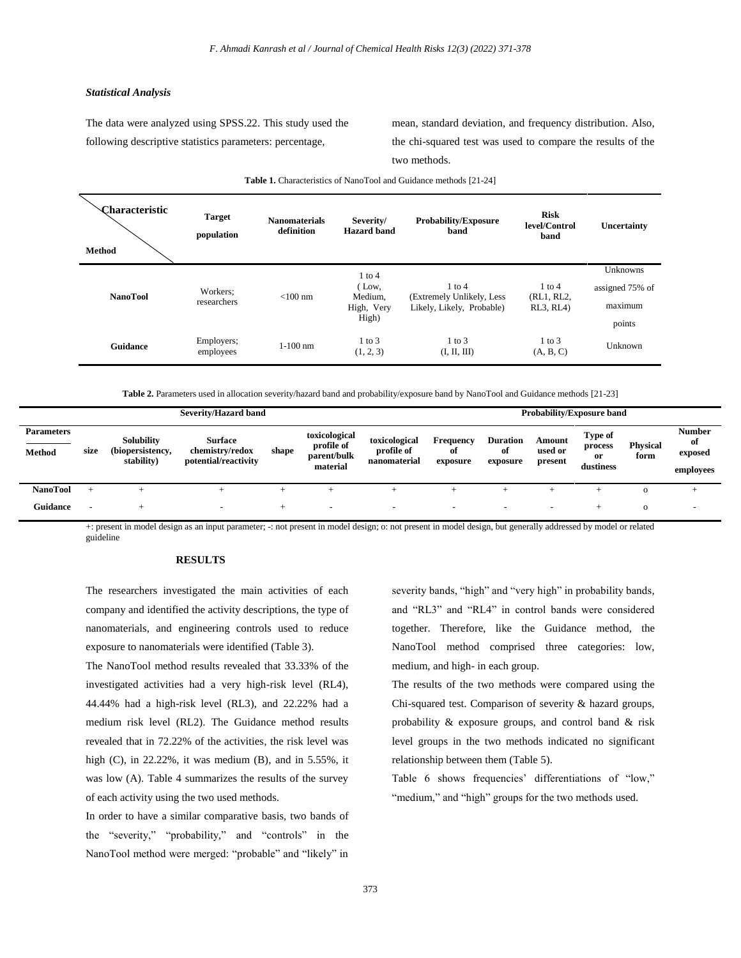# *Statistical Analysis*

The data were analyzed using SPSS.22. This study used the following descriptive statistics parameters: percentage,

mean, standard deviation, and frequency distribution. Also, the chi-squared test was used to compare the results of the two methods.

| <b>Characteristic</b><br><b>Method</b> | <b>Target</b><br>population | <b>Nanomaterials</b><br>definition | Severity/<br><b>Hazard</b> band                       | <b>Probability/Exposure</b><br>band                                  | <b>Risk</b><br>level/Control<br>band  | Uncertainty                                      |
|----------------------------------------|-----------------------------|------------------------------------|-------------------------------------------------------|----------------------------------------------------------------------|---------------------------------------|--------------------------------------------------|
| <b>NanoTool</b>                        | Workers:<br>researchers     | $< 100$ nm                         | $1$ to $4$<br>(Low,<br>Medium,<br>High, Very<br>High) | $1$ to $4$<br>(Extremely Unlikely, Less<br>Likely, Likely, Probable) | $1$ to $4$<br>(RL1, RL2,<br>RL3, RL4) | Unknowns<br>assigned 75% of<br>maximum<br>points |
| Guidance                               | Employers;<br>employees     | $1-100$ nm                         | $1$ to $3$<br>(1, 2, 3)                               | $1$ to $3$<br>(I, II, III)                                           | $1$ to $3$<br>(A, B, C)               | Unknown                                          |

**Table 1.** Characteristics of NanoTool and Guidance methods [21-24]

**Table 2.** Parameters used in allocation severity/hazard band and probability/exposure band by NanoTool and Guidance methods [21-23]

| Severity/Hazard band               |      |                                              |                                                           |       |                                                        |                                             | <b>Probability/Exposure band</b> |                                   |                              |                                       |                         |                                             |
|------------------------------------|------|----------------------------------------------|-----------------------------------------------------------|-------|--------------------------------------------------------|---------------------------------------------|----------------------------------|-----------------------------------|------------------------------|---------------------------------------|-------------------------|---------------------------------------------|
| <b>Parameters</b><br><b>Method</b> | size | Solubility<br>(biopersistency,<br>stability) | <b>Surface</b><br>chemistry/redox<br>potential/reactivity | shape | toxicological<br>profile of<br>parent/bulk<br>material | toxicological<br>profile of<br>nanomaterial | Frequency<br>οf<br>exposure      | <b>Duration</b><br>of<br>exposure | Amount<br>used or<br>present | Type of<br>process<br>or<br>dustiness | <b>Physical</b><br>form | <b>Number</b><br>of<br>exposed<br>employees |
| <b>NanoTool</b>                    |      |                                              | ÷                                                         |       |                                                        |                                             |                                  |                                   |                              |                                       | $\circ$                 |                                             |
| <b>Guidance</b>                    |      |                                              | $\overline{\phantom{0}}$                                  |       | -                                                      | -                                           | $\overline{\phantom{a}}$         | -                                 | $\overline{\phantom{0}}$     | $\div$                                | $\Omega$                | $\overline{\phantom{0}}$                    |

+: present in model design as an input parameter; -: not present in model design; o: not present in model design, but generally addressed by model or related guideline

# **RESULTS**

The researchers investigated the main activities of each company and identified the activity descriptions, the type of nanomaterials, and engineering controls used to reduce exposure to nanomaterials were identified (Table 3).

The NanoTool method results revealed that 33.33% of the investigated activities had a very high-risk level (RL4), 44.44% had a high-risk level (RL3), and 22.22% had a medium risk level (RL2). The Guidance method results revealed that in 72.22% of the activities, the risk level was high (C), in 22.22%, it was medium (B), and in 5.55%, it was low (A). Table 4 summarizes the results of the survey of each activity using the two used methods.

In order to have a similar comparative basis, two bands of the "severity," "probability," and "controls" in the NanoTool method were merged: "probable" and "likely" in

severity bands, "high" and "very high" in probability bands, and "RL3" and "RL4" in control bands were considered together. Therefore, like the Guidance method, the NanoTool method comprised three categories: low, medium, and high- in each group.

The results of the two methods were compared using the Chi-squared test. Comparison of severity & hazard groups, probability & exposure groups, and control band & risk level groups in the two methods indicated no significant relationship between them (Table 5).

Table 6 shows frequencies' differentiations of "low," "medium," and "high" groups for the two methods used.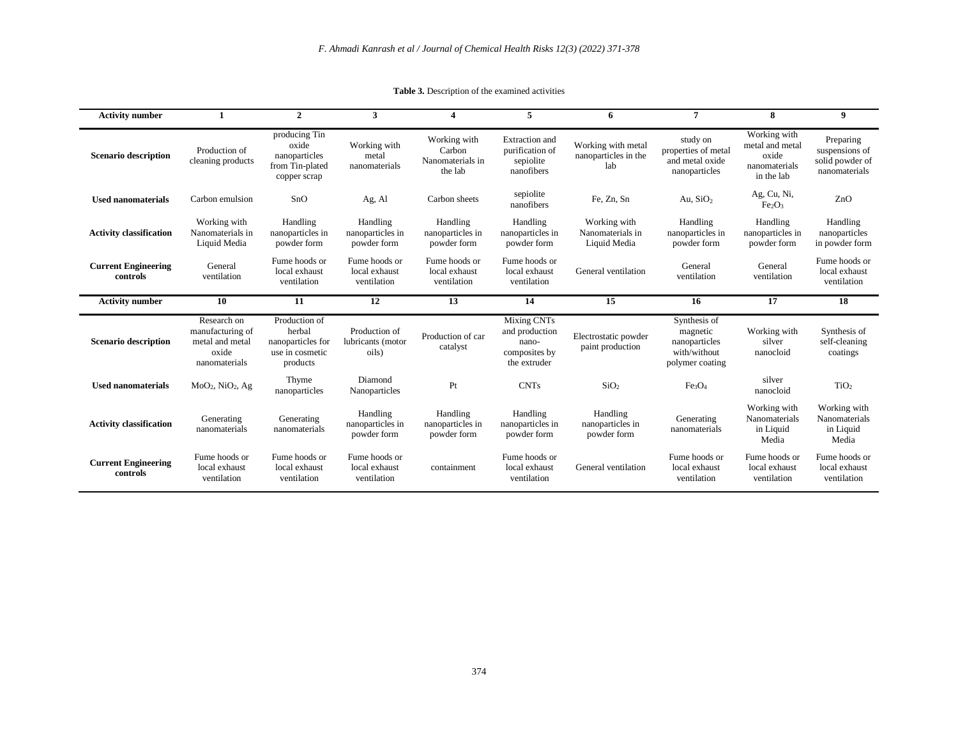| <b>Activity number</b>                 | 1                                                                            | $\overline{2}$                                                              | 3                                             | 4                                                     | 5                                                                       | 6                                                 | 7                                                                            | 8                                                                       | 9                                                               |
|----------------------------------------|------------------------------------------------------------------------------|-----------------------------------------------------------------------------|-----------------------------------------------|-------------------------------------------------------|-------------------------------------------------------------------------|---------------------------------------------------|------------------------------------------------------------------------------|-------------------------------------------------------------------------|-----------------------------------------------------------------|
| <b>Scenario description</b>            | Production of<br>cleaning products                                           | producing Tin<br>oxide<br>nanoparticles<br>from Tin-plated<br>copper scrap  | Working with<br>metal<br>nanomaterials        | Working with<br>Carbon<br>Nanomaterials in<br>the lab | <b>Extraction</b> and<br>purification of<br>sepiolite<br>nanofibers     | Working with metal<br>nanoparticles in the<br>lab | study on<br>properties of metal<br>and metal oxide<br>nanoparticles          | Working with<br>metal and metal<br>oxide<br>nanomaterials<br>in the lab | Preparing<br>suspensions of<br>solid powder of<br>nanomaterials |
| <b>Used nanomaterials</b>              | Carbon emulsion                                                              | SnO                                                                         | Ag, Al                                        | Carbon sheets                                         | sepiolite<br>nanofibers                                                 | Fe, Zn, Sn                                        | Au, $SiO2$                                                                   | Ag, Cu, Ni,<br>Fe <sub>2</sub> O <sub>3</sub>                           | ZnO                                                             |
| <b>Activity classification</b>         | Working with<br>Nanomaterials in<br>Liquid Media                             | Handling<br>nanoparticles in<br>powder form                                 | Handling<br>nanoparticles in<br>powder form   | Handling<br>nanoparticles in<br>powder form           | Handling<br>nanoparticles in<br>powder form                             | Working with<br>Nanomaterials in<br>Liquid Media  | Handling<br>nanoparticles in<br>powder form                                  | Handling<br>nanoparticles in<br>powder form                             | Handling<br>nanoparticles<br>in powder form                     |
| <b>Current Engineering</b><br>controls | General<br>ventilation                                                       | Fume hoods or<br>local exhaust<br>ventilation                               | Fume hoods or<br>local exhaust<br>ventilation | Fume hoods or<br>local exhaust<br>ventilation         | Fume hoods or<br>local exhaust<br>ventilation                           | General ventilation                               | General<br>ventilation                                                       | General<br>ventilation                                                  | Fume hoods or<br>local exhaust<br>ventilation                   |
|                                        |                                                                              |                                                                             |                                               |                                                       |                                                                         |                                                   |                                                                              |                                                                         |                                                                 |
| <b>Activity number</b>                 | 10                                                                           | 11                                                                          | 12                                            | 13                                                    | 14                                                                      | 15                                                | 16                                                                           | 17                                                                      | 18                                                              |
| <b>Scenario description</b>            | Research on<br>manufacturing of<br>metal and metal<br>oxide<br>nanomaterials | Production of<br>herbal<br>nanoparticles for<br>use in cosmetic<br>products | Production of<br>lubricants (motor<br>oils)   | Production of car<br>catalyst                         | Mixing CNTs<br>and production<br>nano-<br>composites by<br>the extruder | Electrostatic powder<br>paint production          | Synthesis of<br>magnetic<br>nanoparticles<br>with/without<br>polymer coating | Working with<br>silver<br>nanocloid                                     | Synthesis of<br>self-cleaning<br>coatings                       |
| <b>Used nanomaterials</b>              | $MoO2$ , Ni $O2$ , Ag                                                        | Thyme<br>nanoparticles                                                      | Diamond<br>Nanoparticles                      | Pt                                                    | <b>CNTs</b>                                                             | SiO <sub>2</sub>                                  | Fe <sub>3</sub> O <sub>4</sub>                                               | silver<br>nanocloid                                                     | TiO <sub>2</sub>                                                |
| <b>Activity classification</b>         | Generating<br>nanomaterials                                                  | Generating<br>nanomaterials                                                 | Handling<br>nanoparticles in<br>powder form   | Handling<br>nanoparticles in<br>powder form           | Handling<br>nanoparticles in<br>powder form                             | Handling<br>nanoparticles in<br>powder form       | Generating<br>nanomaterials                                                  | Working with<br>Nanomaterials<br>in Liquid<br>Media                     | Working with<br>Nanomaterials<br>in Liquid<br>Media             |

**Table 3.** Description of the examined activities

۰

 $\overline{\phantom{0}}$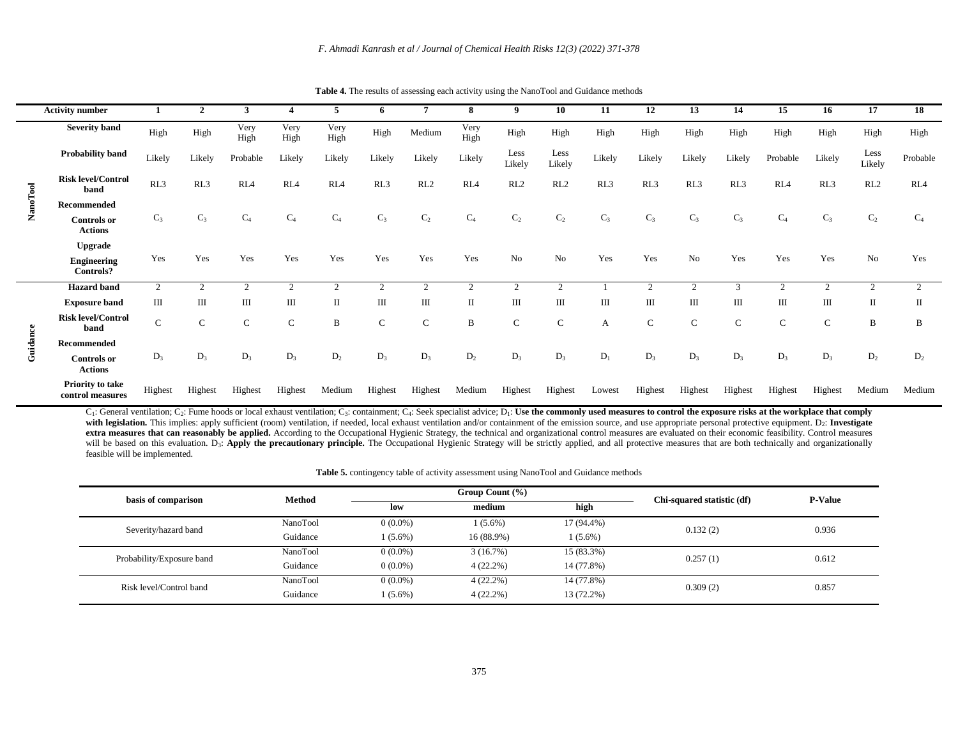| <b>Activity number</b>                 |                |                | 3               |                 | 5               | 6           |                | 8              | 9              | 10             | 11           | 12             | 13             | 14          | 15              | 16           | 17             | 18              |
|----------------------------------------|----------------|----------------|-----------------|-----------------|-----------------|-------------|----------------|----------------|----------------|----------------|--------------|----------------|----------------|-------------|-----------------|--------------|----------------|-----------------|
| <b>Severity band</b>                   | High           | High           | Very<br>High    | Very<br>High    | Very<br>High    | High        | Medium         | Very<br>High   | High           | High           | High         | High           | High           | High        | High            | High         | High           | High            |
| Probability band                       | Likely         | Likely         | Probable        | Likely          | Likely          | Likely      | Likely         | Likely         | Less<br>Likely | Less<br>Likely | Likely       | Likely         | Likely         | Likely      | Probable        | Likely       | Less<br>Likely | Probable        |
| <b>Risk level/Control</b><br>band      | RL3            | RL3            | RL <sub>4</sub> | RL <sub>4</sub> | RL <sub>4</sub> | RL3         | RL2            | RL4            | RL2            | RL2            | RL3          | RL3            | RL3            | RL3         | RL <sub>4</sub> | RL3          | RL2            | RL <sub>4</sub> |
| Recommended                            |                |                |                 |                 |                 |             |                |                |                |                |              |                |                |             |                 |              |                |                 |
| <b>Controls</b> or<br><b>Actions</b>   | $C_3$          | $C_3$          | $C_4$           | $C_4$           | $C_4$           | $C_3$       | $C_2$          | $C_4$          | C <sub>2</sub> | C <sub>2</sub> | $C_3$        | $C_3$          | $C_3$          | $C_3$       | $C_4$           | $C_3$        | C <sub>2</sub> | $C_4$           |
| <b>Upgrade</b>                         |                |                |                 |                 |                 |             |                |                |                |                |              |                |                |             |                 |              |                |                 |
| <b>Engineering</b><br><b>Controls?</b> | Yes            | Yes            | Yes             | Yes             | Yes             | Yes         | Yes            | Yes            | No             | No             | Yes          | Yes            | No             | Yes         | Yes             | Yes          | No             | Yes             |
| <b>Hazard</b> band                     | $\overline{2}$ | $\overline{2}$ |                 | $\overline{2}$  | $\overline{2}$  | 2           | $\overline{2}$ | $\overline{2}$ | $\overline{2}$ | $\overline{2}$ |              | $\overline{c}$ | $\overline{2}$ | 3           | 2               | 2            | 2              | 2               |
| <b>Exposure band</b>                   | Ш              | Ш              | Ш               | Ш               | $\mathbf{I}$    | Ш           | Ш              | $\mathbf{I}$   | Ш              | Ш              | $\mathbf{I}$ | Ш              | Ш              | Ш           | Ш               | $\mathbf{I}$ | $\mathbf{I}$   | П               |
| <b>Risk level/Control</b><br>band      | $\mathbf C$    | $\mathbf C$    | $\mathbf C$     | $\mathbf C$     | B               | $\mathbf C$ | $\mathbf C$    | B              | $\mathbf C$    | $\mathbf C$    | А            | $\mathbf{C}$   | $\mathsf{C}$   | $\mathbf C$ | $\mathbf C$     | $\mathsf{C}$ | B              | B               |
| Recommended                            |                |                |                 |                 |                 |             |                |                |                |                |              |                |                |             |                 |              |                |                 |
| <b>Controls</b> or<br><b>Actions</b>   | $D_3$          | $D_3$          | $D_3$           | $D_3$           | $D_2$           | $D_3$       | $D_3$          | $D_2$          | $D_3$          | $D_3$          | $D_1$        | $D_3$          | $D_3$          | $D_3$       | $D_3$           | $D_3$        | $\mathbf{D}_2$ | $D_2$           |

**NanoTool**

**Guidance**

**Priority to take** 

**Table 4.** The results of assessing each activity using the NanoTool and Guidance methods

 $C_1$ : General ventilation;  $C_2$ : Fume hoods or local exhaust ventilation;  $C_3$ : containment;  $C_4$ : Seek specialist advice; D<sub>1</sub>: Use the commonly used measures to control the exposure risks at the workplace that compl with legislation. This implies: apply sufficient (room) ventilation, if needed, local exhaust ventilation and/or containment of the emission source, and use appropriate personal protective equipment. D<sub>2</sub>: Investigate **extra measures that can reasonably be applied.** According to the Occupational Hygienic Strategy, the technical and organizational control measures are evaluated on their economic feasibility. Control measures will be based on this evaluation. D<sub>3</sub>: **Apply the precautionary principle.** The Occupational Hygienic Strategy will be strictly applied, and all protective measures that are both technically and organizationally feasible will be implemented.

**control measures** Highest Highest Highest Highest Medium Highest Highest Medium Highest Highest Lowest Highest Highest Highest Highest Highest Medium Medium

| basis of comparison       | <b>Method</b> |            | Group Count (%) | Chi-squared statistic (df) | <b>P-Value</b> |       |
|---------------------------|---------------|------------|-----------------|----------------------------|----------------|-------|
|                           |               | low        | medium          | high                       |                |       |
| Severity/hazard band      | NanoTool      | $0(0.0\%)$ | $1(5.6\%)$      | 17 (94.4%)                 | 0.132(2)       | 0.936 |
|                           | Guidance      | $(5.6\%)$  | 16 (88.9%)      | $(5.6\%)$                  |                |       |
| Probability/Exposure band | NanoTool      | $0(0.0\%)$ | 3(16.7%)        | $15(83.3\%)$               | 0.257(1)       | 0.612 |
|                           | Guidance      | $0(0.0\%)$ | $4(22.2\%)$     | 14 (77.8%)                 |                |       |
| Risk level/Control band   | NanoTool      | $0(0.0\%)$ | $4(22.2\%)$     | 14 (77.8%)                 | 0.309(2)       | 0.857 |
|                           | Guidance      | $(5.6\%)$  | $4(22.2\%)$     | 13 (72.2%)                 |                |       |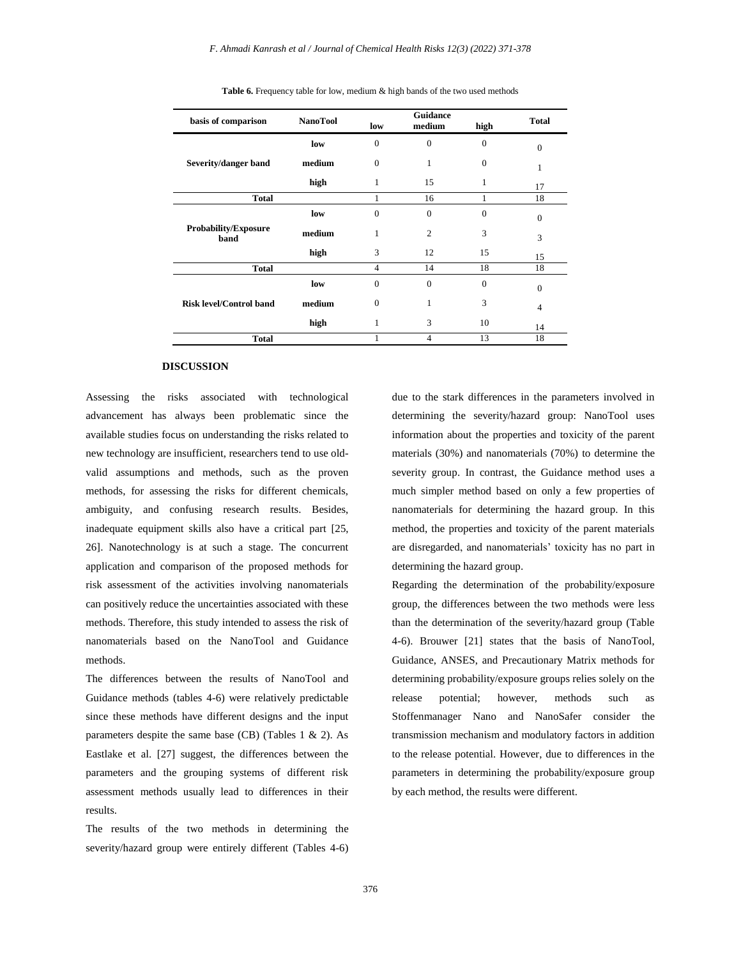| basis of comparison                 | <b>NanoTool</b> | low            | medium         | high     | <b>Total</b>   |
|-------------------------------------|-----------------|----------------|----------------|----------|----------------|
|                                     | low             | $\overline{0}$ | $\overline{0}$ | $\Omega$ | $\theta$       |
| Severity/danger band                | medium          | $\mathbf{0}$   | 1              | $\Omega$ | 1              |
|                                     | high            | 1              | 15             | 1        | 17             |
| <b>Total</b>                        |                 | 1              | 16             |          | 18             |
|                                     | low             | $\overline{0}$ | $\mathbf{0}$   | $\Omega$ | $\Omega$       |
| <b>Probability/Exposure</b><br>band | medium          | 1              | $\overline{2}$ | 3        | 3              |
|                                     | high            | 3              | 12             | 15       | 15             |
| <b>Total</b>                        |                 | $\overline{4}$ | 14             | 18       | 18             |
|                                     | low             | $\overline{0}$ | $\overline{0}$ | $\Omega$ | $\mathbf{0}$   |
| <b>Risk level/Control band</b>      | medium          | $\overline{0}$ | $\mathbf{1}$   | 3        | $\overline{4}$ |
|                                     | high            | 1              | 3              | 10       | 14             |
| <b>Total</b>                        |                 |                | 4              | 13       | 18             |

**Table 6.** Frequency table for low, medium & high bands of the two used methods

#### **DISCUSSION**

Assessing the risks associated with technological advancement has always been problematic since the available studies focus on understanding the risks related to new technology are insufficient, researchers tend to use oldvalid assumptions and methods, such as the proven methods, for assessing the risks for different chemicals, ambiguity, and confusing research results. Besides, inadequate equipment skills also have a critical part [25, 26]. Nanotechnology is at such a stage. The concurrent application and comparison of the proposed methods for risk assessment of the activities involving nanomaterials can positively reduce the uncertainties associated with these methods. Therefore, this study intended to assess the risk of nanomaterials based on the NanoTool and Guidance methods.

The differences between the results of NanoTool and Guidance methods (tables 4-6) were relatively predictable since these methods have different designs and the input parameters despite the same base (CB) (Tables  $1 \& 2$ ). As Eastlake et al. [27] suggest, the differences between the parameters and the grouping systems of different risk assessment methods usually lead to differences in their results.

The results of the two methods in determining the severity/hazard group were entirely different (Tables 4-6) due to the stark differences in the parameters involved in determining the severity/hazard group: NanoTool uses information about the properties and toxicity of the parent materials (30%) and nanomaterials (70%) to determine the severity group. In contrast, the Guidance method uses a much simpler method based on only a few properties of nanomaterials for determining the hazard group. In this method, the properties and toxicity of the parent materials are disregarded, and nanomaterials' toxicity has no part in determining the hazard group.

Regarding the determination of the probability/exposure group, the differences between the two methods were less than the determination of the severity/hazard group (Table 4-6). Brouwer [21] states that the basis of NanoTool, Guidance, ANSES, and Precautionary Matrix methods for determining probability/exposure groups relies solely on the release potential; however, methods such as Stoffenmanager Nano and NanoSafer consider the transmission mechanism and modulatory factors in addition to the release potential. However, due to differences in the parameters in determining the probability/exposure group by each method, the results were different.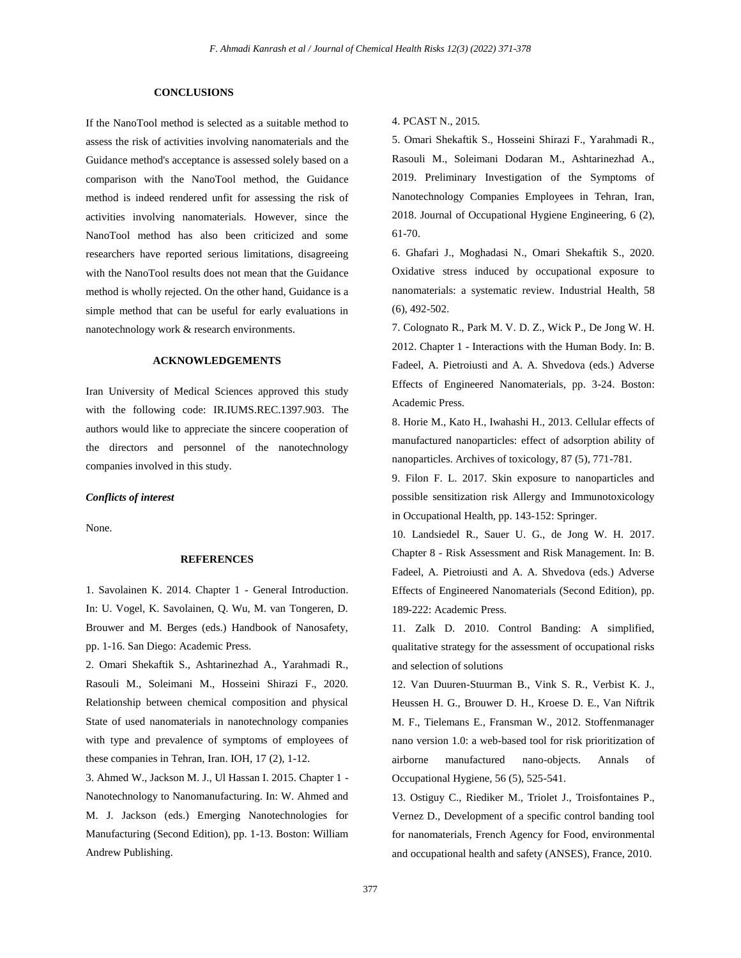## **CONCLUSIONS**

If the NanoTool method is selected as a suitable method to assess the risk of activities involving nanomaterials and the Guidance method's acceptance is assessed solely based on a comparison with the NanoTool method, the Guidance method is indeed rendered unfit for assessing the risk of activities involving nanomaterials. However, since the NanoTool method has also been criticized and some researchers have reported serious limitations, disagreeing with the NanoTool results does not mean that the Guidance method is wholly rejected. On the other hand, Guidance is a simple method that can be useful for early evaluations in nanotechnology work & research environments.

## **ACKNOWLEDGEMENTS**

Iran University of Medical Sciences approved this study with the following code: IR.IUMS.REC.1397.903. The authors would like to appreciate the sincere cooperation of the directors and personnel of the nanotechnology companies involved in this study.

#### *Conflicts of interest*

None.

# **REFERENCES**

1. Savolainen K. 2014. Chapter 1 - General Introduction. In: U. Vogel, K. Savolainen, Q. Wu, M. van Tongeren, D. Brouwer and M. Berges (eds.) Handbook of Nanosafety, pp. 1-16. San Diego: Academic Press.

2. Omari Shekaftik S., Ashtarinezhad A., Yarahmadi R., Rasouli M., Soleimani M., Hosseini Shirazi F., 2020. Relationship between chemical composition and physical State of used nanomaterials in nanotechnology companies with type and prevalence of symptoms of employees of these companies in Tehran, Iran. IOH, 17 (2), 1-12.

3. Ahmed W., Jackson M. J., Ul Hassan I. 2015. Chapter 1 - Nanotechnology to Nanomanufacturing. In: W. Ahmed and M. J. Jackson (eds.) Emerging Nanotechnologies for Manufacturing (Second Edition), pp. 1-13. Boston: William Andrew Publishing.

4. PCAST N., 2015.

5. Omari Shekaftik S., Hosseini Shirazi F., Yarahmadi R., Rasouli M., Soleimani Dodaran M., Ashtarinezhad A., 2019. Preliminary Investigation of the Symptoms of Nanotechnology Companies Employees in Tehran, Iran, 2018. Journal of Occupational Hygiene Engineering, 6 (2), 61-70.

6. Ghafari J., Moghadasi N., Omari Shekaftik S., 2020. Oxidative stress induced by occupational exposure to nanomaterials: a systematic review. Industrial Health, 58 (6), 492-502.

7. Colognato R., Park M. V. D. Z., Wick P., De Jong W. H. 2012. Chapter 1 - Interactions with the Human Body. In: B. Fadeel, A. Pietroiusti and A. A. Shvedova (eds.) Adverse Effects of Engineered Nanomaterials, pp. 3-24. Boston: Academic Press.

8. Horie M., Kato H., Iwahashi H., 2013. Cellular effects of manufactured nanoparticles: effect of adsorption ability of nanoparticles. Archives of toxicology, 87 (5), 771-781.

9. Filon F. L. 2017. Skin exposure to nanoparticles and possible sensitization risk Allergy and Immunotoxicology in Occupational Health, pp. 143-152: Springer.

10. Landsiedel R., Sauer U. G., de Jong W. H. 2017. Chapter 8 - Risk Assessment and Risk Management. In: B. Fadeel, A. Pietroiusti and A. A. Shvedova (eds.) Adverse Effects of Engineered Nanomaterials (Second Edition), pp. 189-222: Academic Press.

11. Zalk D. 2010. Control Banding: A simplified, qualitative strategy for the assessment of occupational risks and selection of solutions

12. Van Duuren-Stuurman B., Vink S. R., Verbist K. J., Heussen H. G., Brouwer D. H., Kroese D. E., Van Niftrik M. F., Tielemans E., Fransman W., 2012. Stoffenmanager nano version 1.0: a web-based tool for risk prioritization of airborne manufactured nano-objects. Annals of Occupational Hygiene, 56 (5), 525-541.

13. Ostiguy C., Riediker M., Triolet J., Troisfontaines P., Vernez D., Development of a specific control banding tool for nanomaterials, French Agency for Food, environmental and occupational health and safety (ANSES), France, 2010.